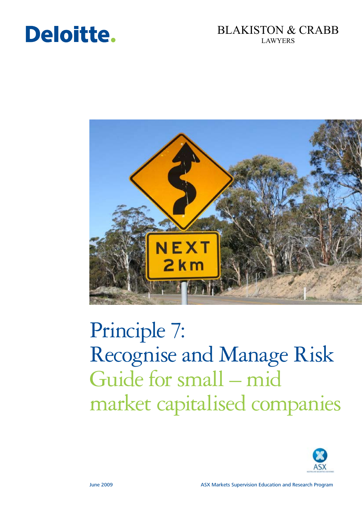# Deloitte.

# BLAKISTON & CRABB LAWYERS



# Principle 7: Recognise and Manage Risk Guide for small – mid market capitalised companies

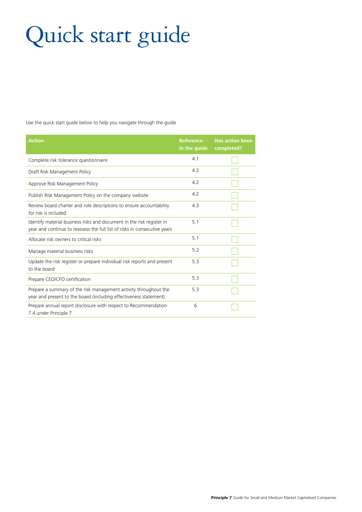# Quick start guide

Use the quick start guide below to help you navigate through the guide

| <b>Action</b>                                                                                                                                      | <b>Reference</b><br>in the guide | <b>Has action been</b><br>completed? |
|----------------------------------------------------------------------------------------------------------------------------------------------------|----------------------------------|--------------------------------------|
| Complete risk tolerance questionnaire                                                                                                              | 4.1                              |                                      |
| Draft Risk Management Policy                                                                                                                       | 4.2                              |                                      |
| Approve Risk Management Policy                                                                                                                     | 4.2                              |                                      |
| Publish Risk Management Policy on the company website                                                                                              | 4.2                              |                                      |
| Review board charter and role descriptions to ensure accountability<br>for risk is included                                                        | 4.3                              |                                      |
| Identify material business risks and document in the risk register in<br>year and continue to reassess the full list of risks in consecutive years | 5.1                              |                                      |
| Allocate risk owners to critical risks                                                                                                             | 5.1                              |                                      |
| Manage material business risks                                                                                                                     | 5.2                              |                                      |
| Update the risk register or prepare individual risk reports and present<br>to the board                                                            | 5.3                              |                                      |
| Prepare CEO/CFO certification                                                                                                                      | 5.3                              |                                      |
| Prepare a summary of the risk management activity throughout the<br>year and present to the board (including effectiveness statement)              | 5.3                              |                                      |
| Prepare annual report disclosure with respect to Recommendation<br>7.4 under Principle 7                                                           | 6                                |                                      |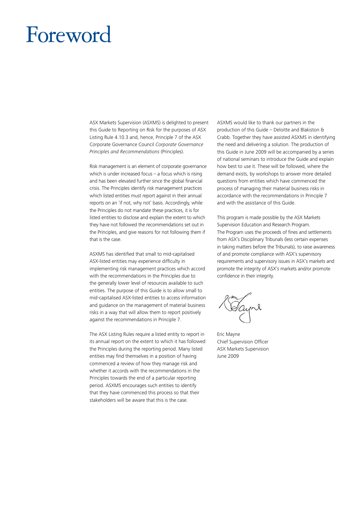# Foreword

ASX Markets Supervision (ASXMS) is delighted to present this Guide to Reporting on Risk for the purposes of ASX Listing Rule 4.10.3 and, hence, Principle 7 of the ASX Corporate Governance Council *Corporate Governance Principles and Recommendations* (Principles).

Risk management is an element of corporate governance which is under increased focus  $-$  a focus which is rising and has been elevated further since the global financial crisis. The Principles identify risk management practices which listed entities must report against in their annual reports on an 'if not, why not' basis. Accordingly, while the Principles do not mandate these practices, it is for listed entities to disclose and explain the extent to which they have not followed the recommendations set out in the Principles, and give reasons for not following them if that is the case.

ASXMS has identified that small to mid-capitalised ASX-listed entities may experience difficulty in implementing risk management practices which accord with the recommendations in the Principles due to the generally lower level of resources available to such entities. The purpose of this Guide is to allow small to mid-capitalised ASX-listed entities to access information and guidance on the management of material business risks in a way that will allow them to report positively against the recommendations in Principle 7.

The ASX Listing Rules require a listed entity to report in its annual report on the extent to which it has followed the Principles during the reporting period. Many listed entities may find themselves in a position of having commenced a review of how they manage risk and whether it accords with the recommendations in the Principles towards the end of a particular reporting period. ASXMS encourages such entities to identify that they have commenced this process so that their stakeholders will be aware that this is the case.

ASXMS would like to thank our partners in the production of this Guide – Deloitte and Blakiston & Crabb. Together they have assisted ASXMS in identifying the need and delivering a solution. The production of this Guide in June 2009 will be accompanied by a series of national seminars to introduce the Guide and explain how best to use it. These will be followed, where the demand exists, by workshops to answer more detailed questions from entities which have commenced the process of managing their material business risks in accordance with the recommendations in Principle 7 and with the assistance of this Guide.

This program is made possible by the ASX Markets Supervision Education and Research Program. The Program uses the proceeds of fines and settlements from ASX's Disciplinary Tribunals (less certain expenses in taking matters before the Tribunals), to raise awareness of and promote compliance with ASX's supervisory requirements and supervisory issues in ASX's markets and promote the integrity of ASX's markets and/or promote confidence in their integrity.

Eric Mayne Chief Supervision Officer ASX Markets Supervision June 2009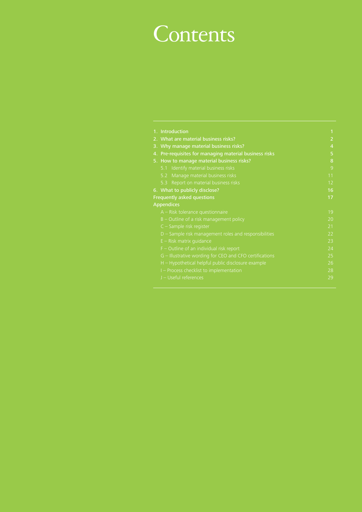# **Contents**

|    | 1. Introduction                                         | 1              |
|----|---------------------------------------------------------|----------------|
|    | 2. What are material business risks?                    | 2              |
|    | 3. Why manage material business risks?                  | $\overline{4}$ |
| 4. | Pre-requisites for managing material business risks     | 5              |
|    | 5. How to manage material business risks?               | 8              |
|    | 5.1 Identify material business risks                    | 9              |
|    | Manage material business risks<br>5.2                   | 11             |
|    | Report on material business risks<br>5.3                | 12             |
|    | 6. What to publicly disclose?                           | 16             |
|    | Frequently asked questions                              | 17             |
|    | <b>Appendices</b>                                       |                |
|    | $A$ – Risk tolerance questionnaire                      | 19             |
|    | $B$ – Outline of a risk management policy               | 20             |
|    | $C -$ Sample risk register                              | 21             |
|    | $D$ – Sample risk management roles and responsibilities | 22             |
|    | $E -$ Risk matrix quidance                              | 23             |
|    | $F$ – Outline of an individual risk report              | 24             |
|    | G - Illustrative wording for CEO and CFO certifications | 25             |
|    | H - Hypothetical helpful public disclosure example      | 26             |
|    | I - Process checklist to implementation                 | 28             |
|    | J - Useful references                                   | 29             |
|    |                                                         |                |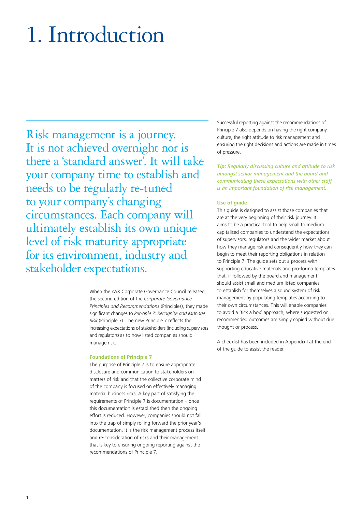# 1. Introduction

Risk management is a journey. It is not achieved overnight nor is there a 'standard answer'. It will take your company time to establish and needs to be regularly re-tuned to your company's changing circumstances. Each company will ultimately establish its own unique level of risk maturity appropriate for its environment, industry and stakeholder expectations.

> When the ASX Corporate Governance Council released the second edition of the *Corporate Governance Principles and Recommendations* (Principles), they made significant changes to *Principle 7: Recognise and Manage Risk* (Principle 7). The new Principle 7 reflects the increasing expectations of stakeholders (including supervisors and regulators) as to how listed companies should manage risk.

#### **Foundations of Principle 7**

The purpose of Principle 7 is to ensure appropriate disclosure and communication to stakeholders on matters of risk and that the collective corporate mind of the company is focused on effectively managing material business risks. A key part of satisfying the requirements of Principle 7 is documentation – once this documentation is established then the ongoing effort is reduced. However, companies should not fall into the trap of simply rolling forward the prior year's documentation. It is the risk management process itself and re-consideration of risks and their management that is key to ensuring ongoing reporting against the recommendations of Principle 7.

Successful reporting against the recommendations of Principle 7 also depends on having the right company culture, the right attitude to risk management and ensuring the right decisions and actions are made in times of pressure.

*Tip: Regularly discussing culture and attitude to risk amongst senior management and the board and communicating these expectations with other staff is an important foundation of risk management.*

#### **Use of guide**

This guide is designed to assist those companies that are at the very beginning of their risk journey. It aims to be a practical tool to help small to medium capitalised companies to understand the expectations of supervisors, regulators and the wider market about how they manage risk and consequently how they can begin to meet their reporting obligations in relation to Principle 7. The guide sets out a process with supporting educative materials and pro-forma templates that, if followed by the board and management, should assist small and medium listed companies to establish for themselves a sound system of risk management by populating templates according to their own circumstances. This will enable companies to avoid a 'tick a box' approach, where suggested or recommended outcomes are simply copied without due thought or process.

A checklist has been included in Appendix I at the end of the guide to assist the reader.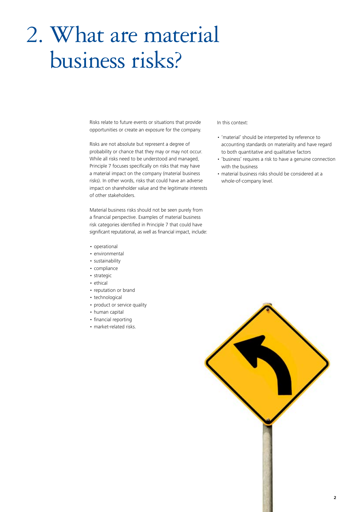# 2. What are material business risks?

Risks relate to future events or situations that provide opportunities or create an exposure for the company.

Risks are not absolute but represent a degree of probability or chance that they may or may not occur. While all risks need to be understood and managed, Principle 7 focuses specifically on risks that may have a material impact on the company (material business risks). In other words, risks that could have an adverse impact on shareholder value and the legitimate interests of other stakeholders.

Material business risks should not be seen purely from a financial perspective. Examples of material business risk categories identified in Principle 7 that could have significant reputational, as well as financial impact, include:

- • operational
- environmental
- sustainability
- • compliance
- • strategic
- ethical
- reputation or brand
- technological
- product or service quality
- • human capital
- financial reporting
- market-related risks.

### In this context:

- • 'material' should be interpreted by reference to accounting standards on materiality and have regard to both quantitative and qualitative factors
- 'business' requires a risk to have a genuine connection with the business
- • material business risks should be considered at a whole-of-company level.

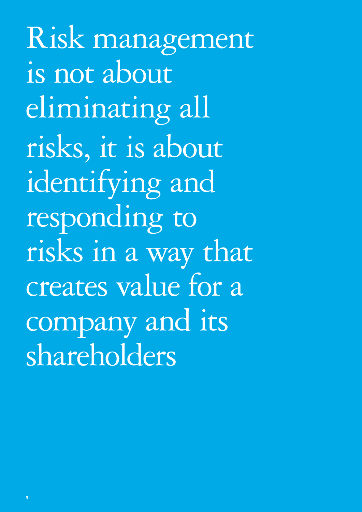Risk management is not about eliminating all risks, it is about identifying and responding to risks in a way that creates value for a company and its shareholders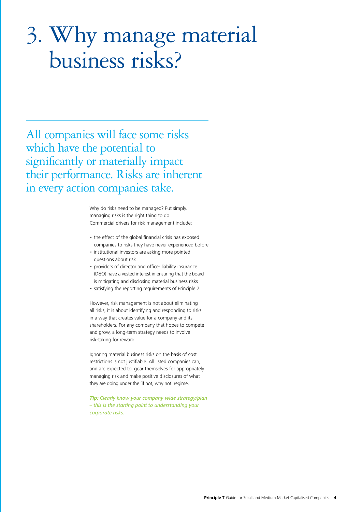# 3. Why manage material business risks?

All companies will face some risks which have the potential to significantly or materially impact their performance. Risks are inherent in every action companies take.

> Why do risks need to be managed? Put simply, managing risks is the right thing to do. Commercial drivers for risk management include:

- the effect of the global financial crisis has exposed companies to risks they have never experienced before
- institutional investors are asking more pointed questions about risk
- providers of director and officer liability insurance (D&O) have a vested interest in ensuring that the board is mitigating and disclosing material business risks
- • satisfying the reporting requirements of Principle 7.

However, risk management is not about eliminating all risks, it is about identifying and responding to risks in a way that creates value for a company and its shareholders. For any company that hopes to compete and grow, a long-term strategy needs to involve risk-taking for reward.

Ignoring material business risks on the basis of cost restrictions is not justifiable. All listed companies can, and are expected to, gear themselves for appropriately managing risk and make positive disclosures of what they are doing under the 'if not, why not' regime.

*Tip: Clearly know your company-wide strategy/plan – this is the starting point to understanding your corporate risks.*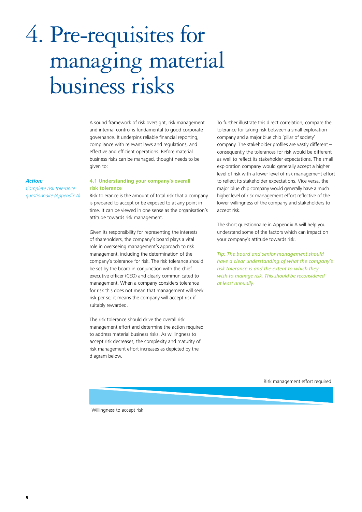# 4. Pre-requisites for managing material business risks

A sound framework of risk oversight, risk management and internal control is fundamental to good corporate governance. It underpins reliable financial reporting, compliance with relevant laws and regulations, and effective and efficient operations. Before material business risks can be managed, thought needs to be given to:

#### *Action:*

*Complete risk tolerance questionnaire (Appendix A)*

### **4.1 Understanding your company's overall risk tolerance**

Risk tolerance is the amount of total risk that a company is prepared to accept or be exposed to at any point in time. It can be viewed in one sense as the organisation's attitude towards risk management.

Given its responsibility for representing the interests of shareholders, the company's board plays a vital role in overseeing management's approach to risk management, including the determination of the company's tolerance for risk. The risk tolerance should be set by the board in conjunction with the chief executive officer (CEO) and clearly communicated to management. When a company considers tolerance for risk this does not mean that management will seek risk per se; it means the company will accept risk if suitably rewarded.

The risk tolerance should drive the overall risk management effort and determine the action required to address material business risks. As willingness to accept risk decreases, the complexity and maturity of risk management effort increases as depicted by the diagram below.

To further illustrate this direct correlation, compare the tolerance for taking risk between a small exploration company and a major blue chip 'pillar of society' company. The stakeholder profiles are vastly different – consequently the tolerances for risk would be different as well to reflect its stakeholder expectations. The small exploration company would generally accept a higher level of risk with a lower level of risk management effort to reflect its stakeholder expectations. Vice versa, the major blue chip company would generally have a much higher level of risk management effort reflective of the lower willingness of the company and stakeholders to accept risk.

The short questionnaire in Appendix A will help you understand some of the factors which can impact on your company's attitude towards risk.

*Tip: The board and senior management should have a clear understanding of what the company's risk tolerance is and the extent to which they wish to manage risk. This should be reconsidered at least annually.*

Risk management effort required

Willingness to accept risk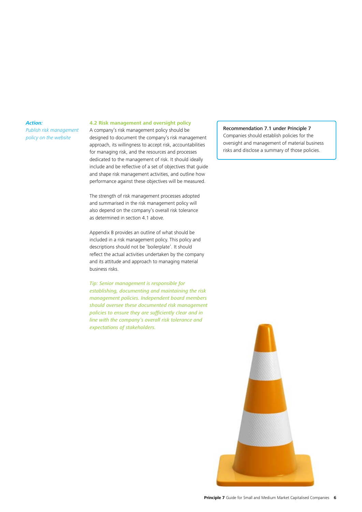*Publish risk management policy on the website*

### **4.2 Risk management and oversight policy**

A company's risk management policy should be designed to document the company's risk management approach, its willingness to accept risk, accountabilities for managing risk, and the resources and processes dedicated to the management of risk. It should ideally include and be reflective of a set of objectives that guide and shape risk management activities, and outline how performance against these objectives will be measured.

The strength of risk management processes adopted and summarised in the risk management policy will also depend on the company's overall risk tolerance as determined in section 4.1 above.

Appendix B provides an outline of what should be included in a risk management policy. This policy and descriptions should not be 'boilerplate'. It should reflect the actual activities undertaken by the company and its attitude and approach to managing material business risks.

*Tip: Senior management is responsible for establishing, documenting and maintaining the risk management policies. Independent board members should oversee these documented risk management policies to ensure they are sufficiently clear and in line with the company's overall risk tolerance and expectations of stakeholders.*

### Recommendation 7.1 under Principle 7

Companies should establish policies for the oversight and management of material business risks and disclose a summary of those policies.

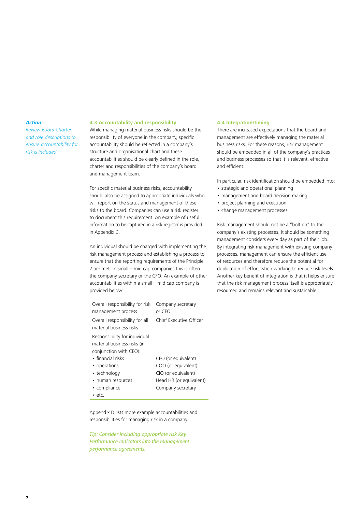*Review Board Charter and role descriptions to ensure accountability for risk is included.*

### **4.3 Accountability and responsibility**

While managing material business risks should be the responsibility of everyone in the company, specific accountability should be reflected in a company's structure and organisational chart and these accountabilities should be clearly defined in the role, charter and responsibilities of the company's board and management team.

For specific material business risks, accountability should also be assigned to appropriate individuals who will report on the status and management of these risks to the board. Companies can use a risk register to document this requirement. An example of useful information to be captured in a risk register is provided in Appendix C.

An individual should be charged with implementing the risk management process and establishing a process to ensure that the reporting requirements of the Principle 7 are met. In small – mid cap companies this is often the company secretary or the CFO. An example of other accountabilities within a small – mid cap company is provided below:

| Overall responsibility for all<br>material business risks<br>Responsibility for individual<br>material business risks (in<br>conjunction with CEO):<br>$\bullet$ financial risks<br>• operations | Chief Executive Officer                                                                      |
|--------------------------------------------------------------------------------------------------------------------------------------------------------------------------------------------------|----------------------------------------------------------------------------------------------|
|                                                                                                                                                                                                  |                                                                                              |
| • technology<br>• human resources<br>• compliance<br>Company secretary<br>• etc.                                                                                                                 | CFO (or equivalent)<br>COO (or equivalent)<br>CIO (or equivalent)<br>Head HR (or equivalent) |

Appendix D lists more example accountabilities and responsibilities for managing risk in a company.

*Tip: Consider including appropriate risk Key Performance Indicators into the management performance agreements.*

### **4.4 Integration/timing**

There are increased expectations that the board and management are effectively managing the material business risks. For these reasons, risk management should be embedded in all of the company's practices and business processes so that it is relevant, effective and efficient.

In particular, risk identification should be embedded into:

- strategic and operational planning
- management and board decision making
- project planning and execution
- change management processes.

Risk management should not be a "bolt on" to the company's existing processes. It should be something management considers every day as part of their job. By integrating risk management with existing company processes, management can ensure the efficient use of resources and therefore reduce the potential for duplication of effort when working to reduce risk levels. Another key benefit of integration is that it helps ensure that the risk management process itself is appropriately resourced and remains relevant and sustainable.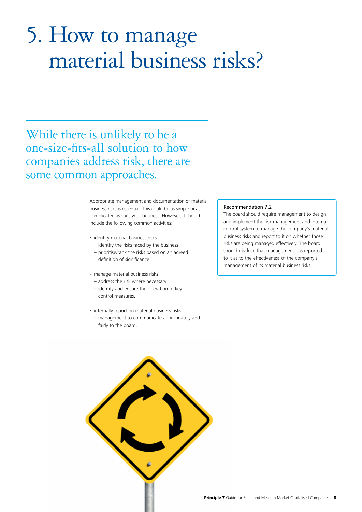# 5. How to manage material business risks?

While there is unlikely to be a one-size-fits-all solution to how companies address risk, there are some common approaches.

> Appropriate management and documentation of material business risks is essential. This could be as simple or as complicated as suits your business. However, it should include the following common activities:

- identify material business risks
- identify the risks faced by the business – prioritise/rank the risks based on an agreed definition of significance.
- manage material business risks
- address the risk where necessary
- identify and ensure the operation of key control measures.
- internally report on material business risks – management to communicate appropriately and fairly to the board.

### Recommendation 7.2

The board should require management to design and implement the risk management and internal control system to manage the company's material business risks and report to it on whether those risks are being managed effectively. The board should disclose that management has reported to it as to the effectiveness of the company's management of its material business risks.

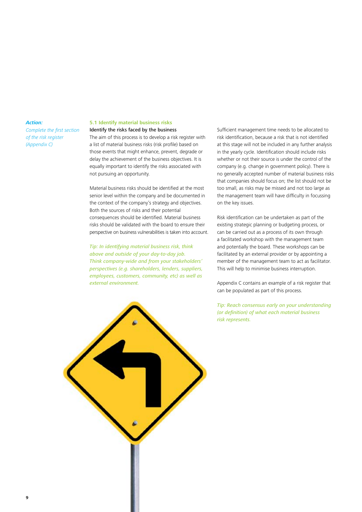*Complete the first section of the risk register (Appendix C)*

# **5.1 Identify material business risks**

### Identify the risks faced by the business

The aim of this process is to develop a risk register with a list of material business risks (risk profile) based on those events that might enhance, prevent, degrade or delay the achievement of the business objectives. It is equally important to identify the risks associated with not pursuing an opportunity.

Material business risks should be identified at the most senior level within the company and be documented in the context of the company's strategy and objectives. Both the sources of risks and their potential consequences should be identified. Material business risks should be validated with the board to ensure their perspective on business vulnerabilities is taken into account.

*Tip: In identifying material business risk, think above and outside of your day-to-day job. Think company-wide and from your stakeholders' perspectives (e.g. shareholders, lenders, suppliers, employees, customers, community, etc) as well as external environment.*

Sufficient management time needs to be allocated to risk identification, because a risk that is not identified at this stage will not be included in any further analysis in the yearly cycle. Identification should include risks whether or not their source is under the control of the company (e.g. change in government policy). There is no generally accepted number of material business risks that companies should focus on; the list should not be too small, as risks may be missed and not too large as the management team will have difficulty in focussing on the key issues.

Risk identification can be undertaken as part of the existing strategic planning or budgeting process, or can be carried out as a process of its own through a facilitated workshop with the management team and potentially the board. These workshops can be facilitated by an external provider or by appointing a member of the management team to act as facilitator. This will help to minimise business interruption.

Appendix C contains an example of a risk register that can be populated as part of this process.

*Tip: Reach consensus early on your understanding (or definition) of what each material business risk represents.*

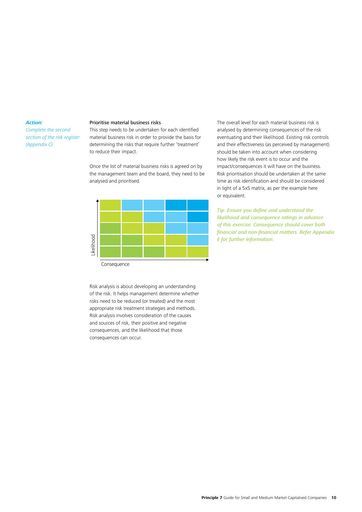*Complete the second section of the risk register (Appendix C)*

#### Prioritise material business risks

This step needs to be undertaken for each identified material business risk in order to provide the basis for determining the risks that require further 'treatment' to reduce their impact.

Once the list of material business risks is agreed on by the management team and the board, they need to be analysed and prioritised.



Consequence

Risk analysis is about developing an understanding of the risk. It helps management determine whether risks need to be reduced (or treated) and the most appropriate risk treatment strategies and methods. Risk analysis involves consideration of the causes and sources of risk, their positive and negative consequences, and the likelihood that those The consequence<br>
Consequence<br>
Risk analysis is about dev<br>
of the risk. It helps mana<br>
risks need to be reduced<br>
appropriate risk treatmer<br>
Risk analysis involves con<br>
and sources of risk, their<br>
consequences, and the li<br>
c

The overall level for each material business risk is analysed by determining consequences of the risk eventuating and their likelihood. Existing risk controls and their effectiveness (as perceived by management) should be taken into account when considering how likely the risk event is to occur and the impact/consequences it will have on the business. Risk prioritisation should be undertaken at the same time as risk identification and should be considered in light of a 5x5 matrix, as per the example here or equivalent.

*Tip: Ensure you define and understand the likelihood and consequence ratings in advance of this exercise. Consequence should cover both financial and non-financial matters. Refer Appendix E for further information.*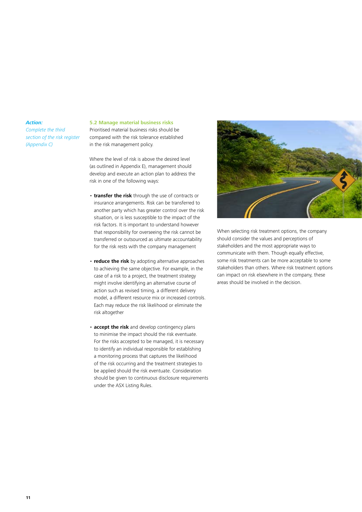*Complete the third section of the risk register (Appendix C)*

### **5.2 Manage material business risks**

Prioritised material business risks should be compared with the risk tolerance established in the risk management policy.

Where the level of risk is above the desired level (as outlined in Appendix E), management should develop and execute an action plan to address the risk in one of the following ways:

- **transfer the risk** through the use of contracts or insurance arrangements. Risk can be transferred to another party which has greater control over the risk situation, or is less susceptible to the impact of the risk factors. It is important to understand however that responsibility for overseeing the risk cannot be transferred or outsourced as ultimate accountability for the risk rests with the company management
- **reduce the risk** by adopting alternative approaches to achieving the same objective. For example, in the case of a risk to a project, the treatment strategy might involve identifying an alternative course of action such as revised timing, a different delivery model, a different resource mix or increased controls. Each may reduce the risk likelihood or eliminate the risk altogether
- **accept the risk** and develop contingency plans to minimise the impact should the risk eventuate. For the risks accepted to be managed, it is necessary to identify an individual responsible for establishing a monitoring process that captures the likelihood of the risk occurring and the treatment strategies to be applied should the risk eventuate. Consideration should be given to continuous disclosure requirements under the ASX Listing Rules.



When selecting risk treatment options, the company should consider the values and perceptions of stakeholders and the most appropriate ways to communicate with them. Though equally effective, some risk treatments can be more acceptable to some stakeholders than others. Where risk treatment options can impact on risk elsewhere in the company, these areas should be involved in the decision.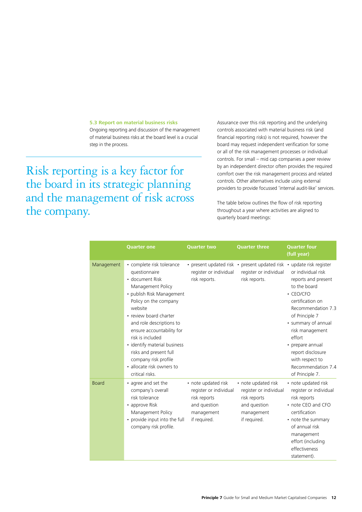#### **5.3 Report on material business risks**

Ongoing reporting and discussion of the management of material business risks at the board level is a crucial step in the process.

Risk reporting is a key factor for the board in its strategic planning and the management of risk across the company.

Assurance over this risk reporting and the underlying controls associated with material business risk (and financial reporting risks) is not required, however the board may request independent verification for some or all of the risk management processes or individual controls. For small – mid cap companies a peer review by an independent director often provides the required comfort over the risk management process and related controls. Other alternatives include using external providers to provide focussed 'internal audit-like' services.

The table below outlines the flow of risk reporting throughout a year where activities are aligned to quarterly board meetings:

|              | <b>Quarter one</b>                                                                                                                                                                                                                                                                                                                                                                           | <b>Quarter two</b>                                                                                          | <b>Quarter three</b>                                                                                        | <b>Quarter four</b><br>(full year)                                                                                                                                                                                                                                                                                    |
|--------------|----------------------------------------------------------------------------------------------------------------------------------------------------------------------------------------------------------------------------------------------------------------------------------------------------------------------------------------------------------------------------------------------|-------------------------------------------------------------------------------------------------------------|-------------------------------------------------------------------------------------------------------------|-----------------------------------------------------------------------------------------------------------------------------------------------------------------------------------------------------------------------------------------------------------------------------------------------------------------------|
| Management   | • complete risk tolerance<br>questionnaire<br>· document Risk<br>Management Policy<br>• publish Risk Management<br>Policy on the company<br>website<br>• review board charter<br>and role descriptions to<br>ensure accountability for<br>risk is included<br>• identify material business<br>risks and present full<br>company risk profile<br>· allocate risk owners to<br>critical risks. | register or individual<br>risk reports.                                                                     | • present updated risk • present updated risk<br>register or individual<br>risk reports.                    | • update risk register<br>or individual risk<br>reports and present<br>to the board<br>• CEO/CFO<br>certification on<br>Recommendation 7.3<br>of Principle 7<br>• summary of annual<br>risk management<br>effort<br>• prepare annual<br>report disclosure<br>with respect to<br>Recommendation 7.4<br>of Principle 7. |
| <b>Board</b> | • agree and set the<br>company's overall<br>risk tolerance<br>• approve Risk<br>Management Policy<br>• provide input into the full<br>company risk profile.                                                                                                                                                                                                                                  | • note updated risk<br>register or individual<br>risk reports<br>and question<br>management<br>if required. | • note updated risk<br>register or individual<br>risk reports<br>and question<br>management<br>if required. | • note updated risk<br>register or individual<br>risk reports<br>• note CEO and CFO<br>certification<br>• note the summary<br>of annual risk<br>management<br>effort (including<br>effectiveness<br>statement).                                                                                                       |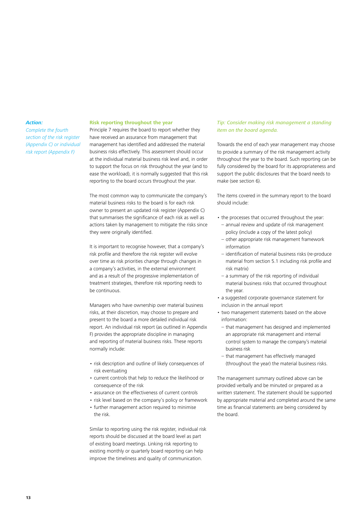*Complete the fourth section of the risk register (Appendix C) or individual risk report (Appendix F)*

#### **Risk reporting throughout the year**

Principle 7 requires the board to report whether they have received an assurance from management that management has identified and addressed the material business risks effectively. This assessment should occur at the individual material business risk level and, in order to support the focus on risk throughout the year (and to ease the workload), it is normally suggested that this risk reporting to the board occurs throughout the year.

The most common way to communicate the company's material business risks to the board is for each risk owner to present an updated risk register (Appendix C) that summarises the significance of each risk as well as actions taken by management to mitigate the risks since they were originally identified.

It is important to recognise however, that a company's risk profile and therefore the risk register will evolve over time as risk priorities change through changes in a company's activities, in the external environment and as a result of the progressive implementation of treatment strategies, therefore risk reporting needs to be continuous.

Managers who have ownership over material business risks, at their discretion, may choose to prepare and present to the board a more detailed individual risk report. An individual risk report (as outlined in Appendix F) provides the appropriate discipline in managing and reporting of material business risks. These reports normally include:

- risk description and outline of likely consequences of risk eventuating
- • current controls that help to reduce the likelihood or consequence of the risk
- assurance on the effectiveness of current controls
- risk level based on the company's policy or framework
- further management action required to minimise the risk.

Similar to reporting using the risk register, individual risk reports should be discussed at the board level as part of existing board meetings. Linking risk reporting to existing monthly or quarterly board reporting can help improve the timeliness and quality of communication.

# *Tip: Consider making risk management a standing item on the board agenda.*

Towards the end of each year management may choose to provide a summary of the risk management activity throughout the year to the board. Such reporting can be fully considered by the board for its appropriateness and support the public disclosures that the board needs to make (see section 6).

The items covered in the summary report to the board should include:

- the processes that occurred throughout the year:
	- annual review and update of risk management policy (include a copy of the latest policy)
	- other appropriate risk management framework information
	- identification of material business risks (re-produce material from section 5.1 including risk profile and risk matrix)
	- a summary of the risk reporting of individual material business risks that occurred throughout the year.
- • a suggested corporate governance statement for inclusion in the annual report
- two management statements based on the above information:
- that management has designed and implemented an appropriate risk management and internal control system to manage the company's material business risk
- that management has effectively managed (throughout the year) the material business risks.

The management summary outlined above can be provided verbally and be minuted or prepared as a written statement. The statement should be supported by appropriate material and completed around the same time as financial statements are being considered by the board.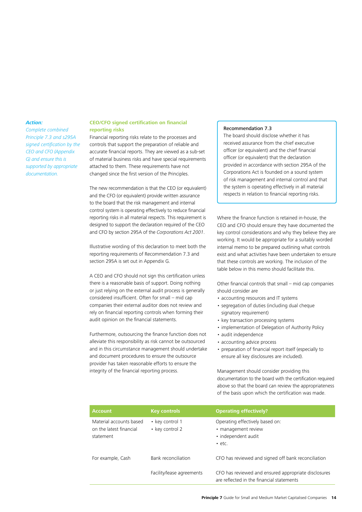*Complete combined Principle 7.3 and s295A signed certification by the CEO and CFO (Appendix G) and ensure this is supported by appropriate documentation.*

### **CEO/CFO signed certification on financial reporting risks**

Financial reporting risks relate to the processes and controls that support the preparation of reliable and accurate financial reports. They are viewed as a sub-set of material business risks and have special requirements attached to them. These requirements have not changed since the first version of the Principles.

The new recommendation is that the CEO (or equivalent) and the CFO (or equivalent) provide written assurance to the board that the risk management and internal control system is operating effectively to reduce financial reporting risks in all material respects. This requirement is designed to support the declaration required of the CEO and CFO by section 295A of the *Corporations Act 2001*.

Illustrative wording of this declaration to meet both the reporting requirements of Recommendation 7.3 and section 295A is set out in Appendix G.

A CEO and CFO should not sign this certification unless there is a reasonable basis of support. Doing nothing or just relying on the external audit process is generally considered insufficient. Often for small – mid cap companies their external auditor does not review and rely on financial reporting controls when forming their audit opinion on the financial statements.

Furthermore, outsourcing the finance function does not alleviate this responsibility as risk cannot be outsourced and in this circumstance management should undertake and document procedures to ensure the outsource provider has taken reasonable efforts to ensure the integrity of the financial reporting process.

#### Recommendation 7.3

The board should disclose whether it has received assurance from the chief executive officer (or equivalent) and the chief financial officer (or equivalent) that the declaration provided in accordance with section 295A of the Corporations Act is founded on a sound system of risk management and internal control and that the system is operating effectively in all material respects in relation to financial reporting risks.

Where the finance function is retained in-house, the CEO and CFO should ensure they have documented the key control considerations and why they believe they are working. It would be appropriate for a suitably worded internal memo to be prepared outlining what controls exist and what activities have been undertaken to ensure that these controls are working. The inclusion of the table below in this memo should facilitate this.

Other financial controls that small – mid cap companies should consider are

- accounting resources and IT systems
- • segregation of duties (including dual cheque signatory requirement)
- key transaction processing systems
- implementation of Delegation of Authority Policy
- • audit independence
- accounting advice process
- • preparation of financial report itself (especially to ensure all key disclosures are included).

Management should consider providing this documentation to the board with the certification required above so that the board can review the appropriateness of the basis upon which the certification was made.

| <b>Account</b>                                                  | <b>Key controls</b>                | <b>Operating effectively?</b>                                                                     |
|-----------------------------------------------------------------|------------------------------------|---------------------------------------------------------------------------------------------------|
| Material accounts based<br>on the latest financial<br>statement | • key control 1<br>• key control 2 | Operating effectively based on:<br>• management review<br>• independent audit<br>$\cdot$ etc.     |
| For example, Cash                                               | Bank reconciliation                | CFO has reviewed and signed off bank reconciliation                                               |
|                                                                 | Facility/lease agreements          | CFO has reviewed and ensured appropriate disclosures<br>are reflected in the financial statements |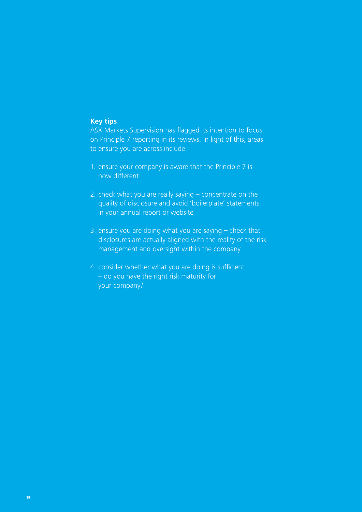# **Key tips**

ASX Markets Supervision has flagged its intention to focus on Principle 7 reporting in its reviews. In light of this, areas to ensure you are across include:

- 1. ensure your company is aware that the Principle 7 is now different
- 2. check what you are really saying concentrate on the quality of disclosure and avoid 'boilerplate' statements in your annual report or website
- 3. ensure you are doing what you are saying check that disclosures are actually aligned with the reality of the risk management and oversight within the company
- 4. consider whether what you are doing is sufficient – do you have the right risk maturity for your company?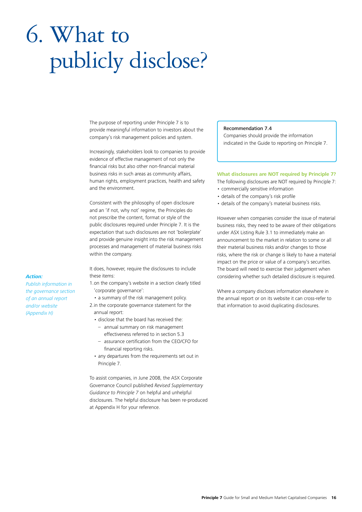# 6. What to publicly disclose?

The purpose of reporting under Principle 7 is to provide meaningful information to investors about the company's risk management policies and system.

Increasingly, stakeholders look to companies to provide evidence of effective management of not only the financial risks but also other non-financial material business risks in such areas as community affairs, human rights, employment practices, health and safety and the environment.

Consistent with the philosophy of open disclosure and an 'if not, why not' regime, the Principles do not prescribe the content, format or style of the public disclosures required under Principle 7. It is the expectation that such disclosures are not 'boilerplate' and provide genuine insight into the risk management processes and management of material business risks within the company.

It does, however, require the disclosures to include these items:

- 1.on the company's website in a section clearly titled 'corporate governance':
- a summary of the risk management policy.
- 2.in the corporate governance statement for the annual report:
	- disclose that the board has received the:
		- annual summary on risk management effectiveness referred to in section 5.3
		- assurance certification from the CEO/CFO for financial reporting risks.
	- any departures from the requirements set out in Principle 7.

To assist companies, in June 2008, the ASX Corporate Governance Council published *Revised Supplementary Guidance to Principle 7* on helpful and unhelpful disclosures. The helpful disclosure has been re-produced at Appendix H for your reference.

# Recommendation 7.4

Companies should provide the information indicated in the Guide to reporting on Principle 7.

#### **What disclosures are NOT required by Principle 7?**

The following disclosures are NOT required by Principle 7:

- • commercially sensitive information
- • details of the company's risk profile
- • details of the company's material business risks.

However when companies consider the issue of material business risks, they need to be aware of their obligations under ASX Listing Rule 3.1 to immediately make an announcement to the market in relation to some or all their material business risks and/or changes to those risks, where the risk or change is likely to have a material impact on the price or value of a company's securities. The board will need to exercise their judgement when considering whether such detailed disclosure is required.

Where a company discloses information elsewhere in the annual report or on its website it can cross-refer to that information to avoid duplicating disclosures.

# *Action:*

*Publish information in the governance section of an annual report and/or website (Appendix H)*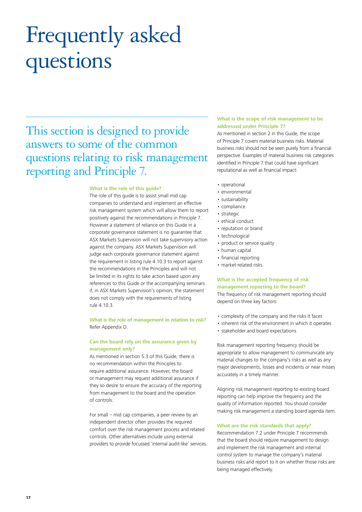# Frequently asked questions

This section is designed to provide answers to some of the common questions relating to risk management reporting and Principle 7.

#### **What is the role of this guide?**

The role of this guide is to assist small mid cap companies to understand and implement an effective risk management system which will allow them to report positively against the recommendations in Principle 7. However a statement of reliance on this Guide in a corporate governance statement is no guarantee that ASX Markets Supervision will not take supervisory action against the company. ASX Markets Supervision will judge each corporate governance statement against the requirement in listing rule 4.10.3 to report against the recommendations in the Principles and will not be limited in its rights to take action based upon any references to this Guide or the accompanying seminars if, in ASX Markets Supervision's opinion, the statement does not comply with the requirements of listing rule 4.10.3.

**What is the role of management in relation to risk?**  Refer Appendix D.

# **Can the board rely on the assurance given by management only?**

As mentioned in section 5.3 of this Guide, there is no recommendation within the Principles to require additional assurance. However, the board or management may request additional assurance if they so desire to ensure the accuracy of the reporting from management to the board and the operation of controls.

For small – mid cap companies, a peer review by an independent director often provides the required comfort over the risk management process and related controls. Other alternatives include using external providers to provide focussed 'internal audit-like' services.

### **What is the scope of risk management to be addressed under Principle 7?**

As mentioned in section 2 in this Guide, the scope of Principle 7 covers material business risks. Material business risks should not be seen purely from a financial perspective. Examples of material business risk categories identified in Principle 7 that could have significant reputational as well as financial impact:

- • operational
- environmental
- sustainability
- • compliance
- strategic
- ethical conduct
- reputation or brand
- technological
- product or service quality
- human capital
- financial reporting
- market-related risks.

# **What is the accepted frequency of risk management reporting to the board?**

The frequency of risk management reporting should depend on three key factors:

- • complexity of the company and the risks it faces
- inherent risk of the environment in which it operates
- stakeholder and board expectations

Risk management reporting frequency should be appropriate to allow management to communicate any material changes to the company's risks as well as any major developments, losses and incidents or near misses accurately in a timely manner.

Aligning risk management reporting to existing board reporting can help improve the frequency and the quality of information reported. You should consider making risk management a standing board agenda item.

### **What are the risk standards that apply?**

Recommendation 7.2 under Principle 7 recommends that the board should require management to design and implement the risk management and internal control system to manage the company's material business risks and report to it on whether those risks are being managed effectively.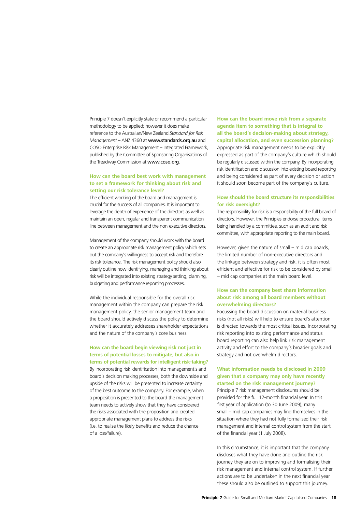Principle 7 doesn't explicitly state or recommend a particular methodology to be applied; however it does make reference to the Australian/New Zealand *Standard for Risk Management* – ANZ 4360 at www.standards.org.au and COSO Enterprise Risk Management – Integrated Framework, published by the Committee of Sponsoring Organisations of the Treadway Commission at www.coso.org.

# **How can the board best work with management to set a framework for thinking about risk and setting our risk tolerance level?**

The efficient working of the board and management is crucial for the success of all companies. It is important to leverage the depth of experience of the directors as well as maintain an open, regular and transparent communication line between management and the non-executive directors.

Management of the company should work with the board to create an appropriate risk management policy which sets out the company's willingness to accept risk and therefore its risk tolerance. The risk management policy should also clearly outline how identifying, managing and thinking about risk will be integrated into existing strategy setting, planning, budgeting and performance reporting processes.

While the individual responsible for the overall risk management within the company can prepare the risk management policy, the senior management team and the board should actively discuss the policy to determine whether it accurately addresses shareholder expectations and the nature of the company's core business.

# **How can the board begin viewing risk not just in terms of potential losses to mitigate, but also in terms of potential rewards for intelligent risk-taking?** By incorporating risk identification into management's and

board's decision making processes, both the downside and upside of the risks will be presented to increase certainty of the best outcome to the company. For example, when a proposition is presented to the board the management team needs to actively show that they have considered the risks associated with the proposition and created appropriate management plans to address the risks (i.e. to realise the likely benefits and reduce the chance of a loss/failure).

**How can the board move risk from a separate agenda item to something that is integral to all the board's decision-making about strategy, capital allocation, and even succession planning?** Appropriate risk management needs to be explicitly expressed as part of the company's culture which should be regularly discussed within the company. By incorporating risk identification and discussion into existing board reporting and being considered as part of every decision or action it should soon become part of the company's culture.

# **How should the board structure its responsibilities for risk oversight?**

The responsibility for risk is a responsibility of the full board of directors. However, the Principles endorse procedural items being handled by a committee, such as an audit and risk committee, with appropriate reporting to the main board.

However, given the nature of small – mid cap boards, the limited number of non-executive directors and the linkage between strategy and risk, it is often most efficient and effective for risk to be considered by small – mid cap companies at the main board level.

# **How can the company best share information about risk among all board members without overwhelming directors?**

Focussing the board discussion on material business risks (not all risks) will help to ensure board's attention is directed towards the most critical issues. Incorporating risk reporting into existing performance and status board reporting can also help link risk management activity and effort to the company's broader goals and strategy and not overwhelm directors.

# **What information needs be disclosed in 2009 given that a company may only have recently started on the risk management journey?**

Principle 7 risk management disclosures should be provided for the full 12-month financial year. In this first year of application (to 30 June 2009), many small – mid cap companies may find themselves in the situation where they had not fully formalised their risk management and internal control system from the start of the financial year (1 July 2008).

In this circumstance, it is important that the company discloses what they have done and outline the risk journey they are on to improving and formalising their risk management and internal control system. If further actions are to be undertaken in the next financial year these should also be outlined to support this journey.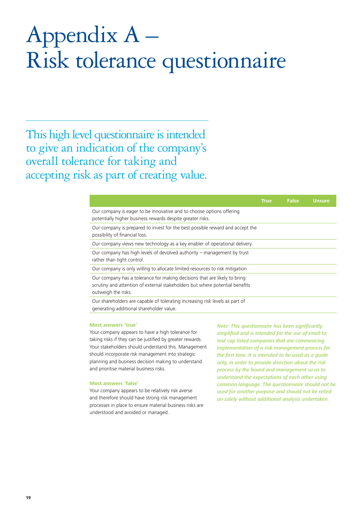# Appendix A – Risk tolerance questionnaire

This high level questionnaire is intended to give an indication of the company's overall tolerance for taking and accepting risk as part of creating value.

|                                                                                                                                                                                  | <b>True</b> | <b>False</b> | <b>Unsure</b> |
|----------------------------------------------------------------------------------------------------------------------------------------------------------------------------------|-------------|--------------|---------------|
| Our company is eager to be innovative and to choose options offering<br>potentially higher business rewards despite greater risks.                                               |             |              |               |
| Our company is prepared to invest for the best possible reward and accept the<br>possibility of financial loss.                                                                  |             |              |               |
| Our company views new technology as a key enabler of operational delivery.                                                                                                       |             |              |               |
| Our company has high levels of devolved authority – management by trust<br>rather than tight control.                                                                            |             |              |               |
| Our company is only willing to allocate limited resources to risk mitigation                                                                                                     |             |              |               |
| Our company has a tolerance for making decisions that are likely to bring<br>scrutiny and attention of external stakeholders but where potential benefits<br>outweigh the risks. |             |              |               |
| Our shareholders are capable of tolerating increasing risk levels as part of<br>generating additional shareholder value.                                                         |             |              |               |

#### **Most answers 'true'**

Your company appears to have a high tolerance for taking risks if they can be justified by greater rewards. Your stakeholders should understand this. Management should incorporate risk management into strategic planning and business decision making to understand and prioritise material business risks.

#### **Most answers 'false'**

Your company appears to be relatively risk averse and therefore should have strong risk management processes in place to ensure material business risks are understood and avoided or managed.

*Note: This questionnaire has been significantly simplified and is intended for the use of small to mid cap listed companies that are commencing implementation of a risk management process for the first time. It is intended to be used as a guide only, in order to provide direction about the risk process by the board and management so as to understand the expectations of each other using common language. The questionnaire should not be used for another purpose and should not be relied on solely without additional analysis undertaken.*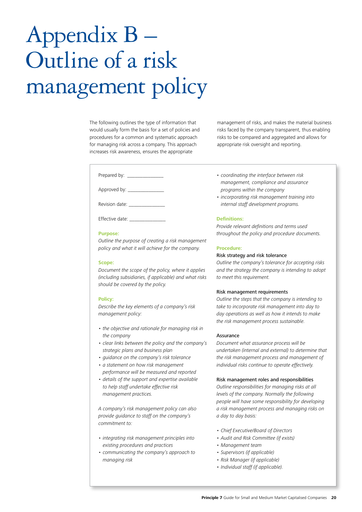The following outlines the type of information that would usually form the basis for a set of policies and procedures for a common and systematic approach for managing risk across a company. This approach increases risk awareness, ensures the appropriate

Prepared by: \_\_\_\_\_\_\_\_\_\_\_\_\_\_

Approved by: \_\_\_\_\_

Revision date:

Effective date:

#### **Purpose:**

*Outline the purpose of creating a risk management policy and what it will achieve for the company.* 

#### **Scope:**

*Document the scope of the policy, where it applies (including subsidiaries, if applicable) and what risks should be covered by the policy.* 

#### **Policy:**

*Describe the key elements of a company's risk management policy:*

- the objective and rationale for managing risk in *the company*
- clear links between the policy and the company's *strategic plans and business plan*
- quidance on the company's risk tolerance
- a statement on how risk management *performance will be measured and reported*
- details of the support and expertise available *to help staff undertake effective risk management practices.*

*A company's risk management policy can also provide guidance to staff on the company's commitment to:*

- integrating risk management principles into *existing procedures and practices*
- • communicating the company's approach to *managing risk*

management of risks, and makes the material business risks faced by the company transparent, thus enabling risks to be compared and aggregated and allows for appropriate risk oversight and reporting.

- • coordinating the interface between risk *management, compliance and assurance programs within the company*
- incorporating risk management training into *internal staff development programs.*

### **Definitions:**

*Provide relevant definitions and terms used throughout the policy and procedure documents.* 

#### **Procedure:**

### Risk strategy and risk tolerance

*Outline the company's tolerance for accepting risks and the strategy the company is intending to adopt to meet this requirement.* 

#### Risk management requirements

*Outline the steps that the company is intending to take to incorporate risk management into day to day operations as well as how it intends to make the risk management process sustainable.* 

#### Assurance

*Document what assurance process will be undertaken (internal and external) to determine that the risk management process and management of individual risks continue to operate effectively.* 

# Risk management roles and responsibilities

*Outline responsibilities for managing risks at all levels of the company. Normally the following people will have some responsibility for developing a risk management process and managing risks on a day to day basis:* 

- • Chief Executive/Board of Directors
- • Audit and Risk Committee (if exists)
- Management team
- • Supervisors (if applicable)
- Risk Manager (if applicable)
- Individual staff (if applicable).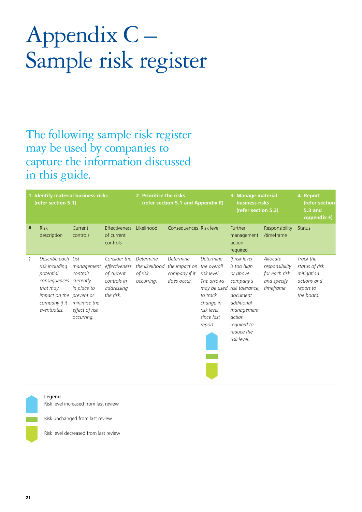# Appendix C – Sample risk register

The following sample risk register may be used by companies to capture the information discussed in this guide.

| 1. Identify material business risks<br>(refer section 5.1) |                                                                                                                                                     |                                                                                       | 2. Prioritise the risks<br>(refer section 5.1 and Appendix E)                         |                                                      | 3. Manage material<br>business risks<br>(refer section 5.2)                   |                                                                                                               | 4. Report<br>(refer section<br><b>5.3 and</b><br><b>Appendix F)</b>                                                                                                                |                                                                          |                                                                                     |
|------------------------------------------------------------|-----------------------------------------------------------------------------------------------------------------------------------------------------|---------------------------------------------------------------------------------------|---------------------------------------------------------------------------------------|------------------------------------------------------|-------------------------------------------------------------------------------|---------------------------------------------------------------------------------------------------------------|------------------------------------------------------------------------------------------------------------------------------------------------------------------------------------|--------------------------------------------------------------------------|-------------------------------------------------------------------------------------|
| #                                                          | <b>Risk</b><br>description                                                                                                                          | Current<br>controls                                                                   | Effectiveness<br>of current<br>controls                                               | Likelihood                                           | Consequences Risk level                                                       |                                                                                                               | Further<br>management<br>action<br>required                                                                                                                                        | Responsibility<br>/timeframe                                             | <b>Status</b>                                                                       |
|                                                            | Describe each List<br>risk including<br>potential<br>consequences currently<br>that may<br>impact on the prevent or<br>company if it<br>eventuates. | management<br>controls<br>in place to<br>minimise the<br>effect of risk<br>occurring. | Consider the<br>effectiveness<br>of current<br>controls in<br>addressing<br>the risk. | Determine<br>the likelihood<br>of risk<br>occurring. | <b>Determine</b><br>the impact on the overall<br>company if it<br>does occur. | <b>Determine</b><br>risk level.<br>The arrows<br>to track<br>change in<br>risk level<br>since last<br>report. | If risk level<br>is too high<br>or above<br>company's<br>may be used risk tolerance,<br>document<br>additional<br>management<br>action<br>required to<br>reduce the<br>risk level. | Allocate<br>responsibility<br>for each risk<br>and specify<br>timeframe. | Track the<br>status of risk<br>mitigation<br>actions and<br>report to<br>the board. |
|                                                            |                                                                                                                                                     |                                                                                       |                                                                                       |                                                      |                                                                               |                                                                                                               |                                                                                                                                                                                    |                                                                          |                                                                                     |

#### Legend

Risk level increased from last review

Risk unchanged from last review

Risk level decreased from last review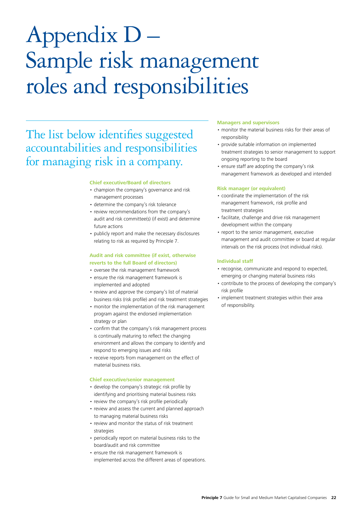# Appendix D – Sample risk management roles and responsibilities

# The list below identifies suggested accountabilities and responsibilities for managing risk in a company.

#### **Chief executive/Board of directors**

- champion the company's governance and risk management processes
- determine the company's risk tolerance
- review recommendations from the company's audit and risk committee(s) (if exist) and determine future actions
- publicly report and make the necessary disclosures relating to risk as required by Principle 7.

# **Audit and risk committee (if exist, otherwise reverts to the full Board of directors)**

- • oversee the risk management framework
- • ensure the risk management framework is implemented and adopted
- review and approve the company's list of material business risks (risk profile) and risk treatment strategies
- monitor the implementation of the risk management program against the endorsed implementation strategy or plan
- • confirm that the company's risk management process is continually maturing to reflect the changing environment and allows the company to identify and respond to emerging issues and risks
- receive reports from management on the effect of material business risks.

#### **Chief executive/senior management**

- develop the company's strategic risk profile by identifying and prioritising material business risks
- review the company's risk profile periodically
- review and assess the current and planned approach to managing material business risks
- review and monitor the status of risk treatment strategies
- • periodically report on material business risks to the board/audit and risk committee
- ensure the risk management framework is implemented across the different areas of operations.

#### **Managers and supervisors**

- monitor the material business risks for their areas of responsibility
- provide suitable information on implemented treatment strategies to senior management to support ongoing reporting to the board
- • ensure staff are adopting the company's risk management framework as developed and intended

#### **Risk manager (or equivalent)**

- • coordinate the implementation of the risk management framework, risk profile and treatment strategies
- facilitate, challenge and drive risk management development within the company
- report to the senior management, executive management and audit committee or board at regular intervals on the risk process (not individual risks).

#### **Individual staff**

- recognise, communicate and respond to expected, emerging or changing material business risks
- • contribute to the process of developing the company's risk profile
- implement treatment strategies within their area of responsibility.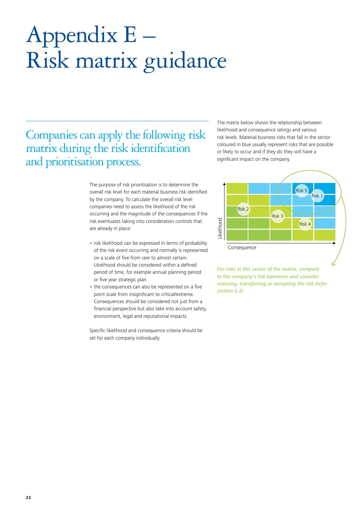# Appendix E – Risk matrix guidance

Companies can apply the following risk matrix during the risk identification and prioritisation process.

> The purpose of risk prioritisation is to determine the overall risk level for each material business risk identified by the company. To calculate the overall risk level companies need to assess the likelihood of the risk occurring and the magnitude of the consequences if the risk eventuates taking into consideration controls that are already in place:

- risk likelihood can be expressed in terms of probability of the risk event occurring and normally is represented on a scale of five from rare to almost certain. Likelihood should be considered within a defined period of time, for example annual planning period or five year strategic plan
- the consequences can also be represented on a five point scale from insignificant to critical/extreme. Consequences should be considered not just from a financial perspective but also take into account safety, environment, legal and reputational impacts.

Specific likelihood and consequence criteria should be set for each company individually.

The matrix below shows the relationship between likelihood and consequence ratings and various risk levels. Material business risks that fall in the sector coloured in blue usually represent risks that are possible or likely to occur and if they do they will have a significant impact on the company.



*For risks in this sector of the matrix, compare to the company's risk tolerance and consider reducing, transferring or accepting the risk (refer section 5.2)*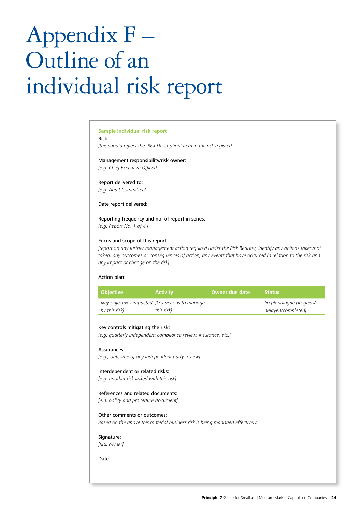# Appendix F – Outline of an individual risk report

### **Sample individual risk report**

Risk:

*[this should reflect the 'Risk Description' item in the risk register]*

Management responsibility/risk owner: *[e.g. Chief Executive Officer]*

Report delivered to:

*[e.g. Audit Committee]*

Date report delivered:

Reporting frequency and no. of report in series:

*[e.g. Report No. 1 of 4.]*

### Focus and scope of this report:

*[report on any further management action required under the Risk Register, identify any actions taken/not taken, any outcomes or consequences of action, any events that have occurred in relation to the risk and any impact or change on the risk]*

#### Action plan:

| Obiective                                                         | <b>Activity</b> | Owner due date | <b>Status</b>                                          |
|-------------------------------------------------------------------|-----------------|----------------|--------------------------------------------------------|
| [key objectives impacted [key actions to manage]<br>by this risk] | this riskl      |                | <i>lin planning/in progress/</i><br>delayed/completed] |

#### Key controls mitigating the risk:

*[e.g. quarterly independent compliance review, insurance, etc.]*

#### Assurances:

*[e.g., outcome of any independent party review]*

#### Interdependent or related risks:

*[e.g. another risk linked with this risk]*

#### References and related documents:

*[e.g. policy and procedure document]*

### Other comments or outcomes:

*Based on the above this material business risk is being managed effectively.*

### Signature:

*[Risk owner]*

Date: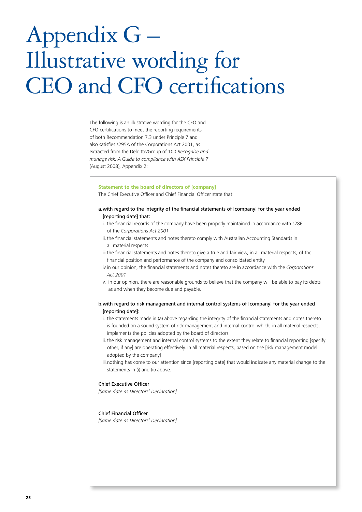# Appendix G – Illustrative wording for CEO and CFO certifications

The following is an illustrative wording for the CEO and CFO certifications to meet the reporting requirements of both Recommendation 7.3 under Principle 7 and also satisfies s295A of the Corporations Act 2001, as extracted from the Deloitte/Group of 100 *Recognise and manage risk: A Guide to compliance with ASX Principle 7* (August 2008), Appendix 2:

#### **Statement to the board of directors of [company]**

The Chief Executive Officer and Chief Financial Officer state that:

# a.with regard to the integrity of the financial statements of [company] for the year ended [reporting date] that:

- i. the financial records of the company have been properly maintained in accordance with s286 of the *Corporations Act 2001*
- ii. the financial statements and notes thereto comply with Australian Accounting Standards in all material respects
- iii. the financial statements and notes thereto give a true and fair view, in all material respects, of the financial position and performance of the company and consolidated entity
- iv. in our opinion, the financial statements and notes thereto are in accordance with the *Corporations Act 2001*
- v. in our opinion, there are reasonable grounds to believe that the company will be able to pay its debts as and when they become due and payable.

# b.with regard to risk management and internal control systems of [company] for the year ended [reporting date]:

- i. the statements made in (a) above regarding the integrity of the financial statements and notes thereto is founded on a sound system of risk management and internal control which, in all material respects, implements the policies adopted by the board of directors
- ii. the risk management and internal control systems to the extent they relate to financial reporting [specify other, if any] are operating effectively, in all material respects, based on the [risk management model adopted by the company]
- iii. nothing has come to our attention since [reporting date] that would indicate any material change to the statements in (i) and (ii) above.

# Chief Executive Officer

*[Same date as Directors' Declaration]*

# Chief Financial Officer

*[Same date as Directors' Declaration]*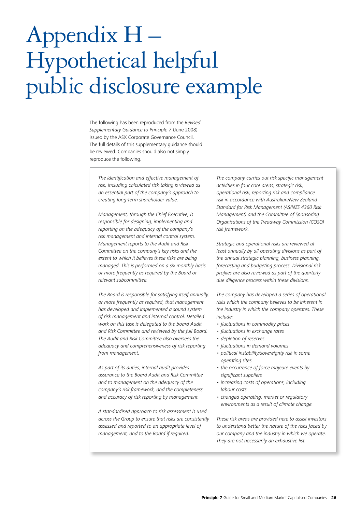# Appendix H – Hypothetical helpful public disclosure example

The following has been reproduced from the *Revised Supplementary Guidance to Principle 7* (June 2008) issued by the ASX Corporate Governance Council. The full details of this supplementary guidance should be reviewed. Companies should also not simply reproduce the following.

*The identification and effective management of risk, including calculated risk-taking is viewed as an essential part of the company's approach to creating long-term shareholder value.* 

*Management, through the Chief Executive, is responsible for designing, implementing and reporting on the adequacy of the company's risk management and internal control system. Management reports to the Audit and Risk Committee on the company's key risks and the extent to which it believes these risks are being managed. This is performed on a six monthly basis or more frequently as required by the Board or relevant subcommittee.* 

*The Board is responsible for satisfying itself annually, or more frequently as required, that management has developed and implemented a sound system of risk management and internal control. Detailed work on this task is delegated to the board Audit and Risk Committee and reviewed by the full Board. The Audit and Risk Committee also oversees the adequacy and comprehensiveness of risk reporting from management.* 

*As part of its duties, internal audit provides assurance to the Board Audit and Risk Committee and to management on the adequacy of the company's risk framework, and the completeness and accuracy of risk reporting by management.* 

*A standardised approach to risk assessment is used across the Group to ensure that risks are consistently assessed and reported to an appropriate level of management, and to the Board if required.* 

*The company carries out risk specific management activities in four core areas; strategic risk, operational risk, reporting risk and compliance risk in accordance with Australian/New Zealand Standard for Risk Management (AS/NZS 4360 Risk Management) and the Committee of Sponsoring Organisations of the Treadway Commission (COSO) risk framework.* 

*Strategic and operational risks are reviewed at least annually by all operating divisions as part of the annual strategic planning, business planning, forecasting and budgeting process. Divisional risk profiles are also reviewed as part of the quarterly due diligence process within these divisions.* 

*The company has developed a series of operational risks which the company believes to be inherent in the industry in which the company operates. These include:* 

- fluctuations in commodity prices
- fluctuations in exchange rates
- depletion of reserves
- fluctuations in demand volumes
- political instability/sovereignty risk in some *operating sites*
- the occurrence of force majeure events by *significant suppliers*
- increasing costs of operations, including *labour costs*
- changed operating, market or regulatory *environments as a result of climate change.*

*These risk areas are provided here to assist investors to understand better the nature of the risks faced by our company and the industry in which we operate. They are not necessarily an exhaustive list.*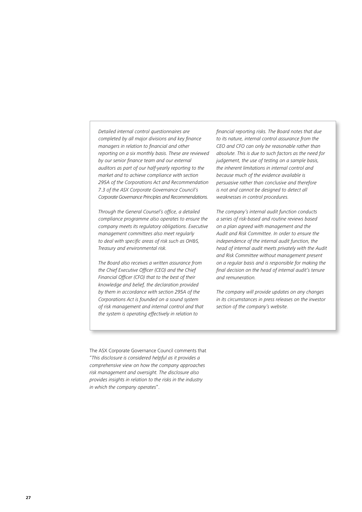*Detailed internal control questionnaires are*  completed by all major divisions and key finance *managers in relation to financial and other reporting on a six monthly basis. These are reviewed by our senior finance team and our external auditors as part of our half-yearly reporting to the market and to achieve compliance with section 295A of the Corporations Act and Recommendation 7.3 of the ASX Corporate Governance Council's Corporate Governance Principles and Recommendations.* 

*Through the General Counsel's office, a detailed compliance programme also operates to ensure the company meets its regulatory obligations. Executive management committees also meet regularly to deal with specific areas of risk such as OH&S, Treasury and environmental risk.* 

*The Board also receives a written assurance from the Chief Executive Officer (CEO) and the Chief Financial Officer (CFO) that to the best of their knowledge and belief, the declaration provided by them in accordance with section 295A of the Corporations Act is founded on a sound system of risk management and internal control and that the system is operating effectively in relation to* 

*financial reporting risks. The Board notes that due to its nature, internal control assurance from the CEO and CFO can only be reasonable rather than absolute. This is due to such factors as the need for*  judgement, the use of testing on a sample basis, *the inherent limitations in internal control and because much of the evidence available is persuasive rather than conclusive and therefore is not and cannot be designed to detect all weaknesses in control procedures.* 

*The company's internal audit function conducts a series of risk-based and routine reviews based on a plan agreed with management and the*  Audit and Risk Committee. In order to ensure the *independence of the internal audit function, the head of internal audit meets privately with the Audit and Risk Committee without management present on a regular basis and is responsible for making the final decision on the head of internal audit's tenure and remuneration.* 

*The company will provide updates on any changes in its circumstances in press releases on the investor section of the company's website.* 

The ASX Corporate Governance Council comments that "*This disclosure is considered helpful as it provides a comprehensive view on how the company approaches risk management and oversight. The disclosure also provides insights in relation to the risks in the industry in which the company operates*".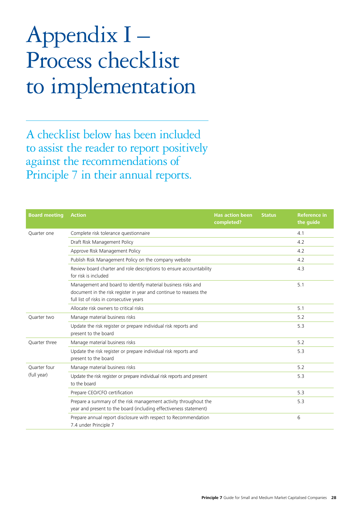# Appendix I – Process checklist to implementation

A checklist below has been included to assist the reader to report positively against the recommendations of Principle 7 in their annual reports.

| <b>Board meeting</b> | <b>Action</b>                                                                                                                                                                 | <b>Has action been</b><br>completed? | <b>Status</b> | <b>Reference in</b><br>the guide |
|----------------------|-------------------------------------------------------------------------------------------------------------------------------------------------------------------------------|--------------------------------------|---------------|----------------------------------|
| Ouarter one          | Complete risk tolerance questionnaire                                                                                                                                         |                                      |               | 4.1                              |
|                      | Draft Risk Management Policy                                                                                                                                                  |                                      |               | 4.2                              |
|                      | Approve Risk Management Policy                                                                                                                                                |                                      |               | 4.2                              |
|                      | Publish Risk Management Policy on the company website                                                                                                                         |                                      |               | 4.2                              |
|                      | Review board charter and role descriptions to ensure accountability<br>for risk is included                                                                                   |                                      |               | 4.3                              |
|                      | Management and board to identify material business risks and<br>document in the risk register in year and continue to reassess the<br>full list of risks in consecutive years |                                      |               | 5.1                              |
|                      | Allocate risk owners to critical risks                                                                                                                                        |                                      |               | 5.1                              |
| Ouarter two          | Manage material business risks                                                                                                                                                |                                      |               | 5.2                              |
|                      | Update the risk register or prepare individual risk reports and<br>present to the board                                                                                       |                                      |               | 5.3                              |
| Quarter three        | Manage material business risks                                                                                                                                                |                                      |               | 5.2                              |
|                      | Update the risk register or prepare individual risk reports and<br>present to the board                                                                                       |                                      |               | 5.3                              |
| Ouarter four         | Manage material business risks                                                                                                                                                |                                      |               | 5.2                              |
| (full year)          | Update the risk register or prepare individual risk reports and present<br>to the board                                                                                       |                                      |               | 5.3                              |
|                      | Prepare CEO/CFO certification                                                                                                                                                 |                                      |               | 5.3                              |
|                      | Prepare a summary of the risk management activity throughout the<br>year and present to the board (including effectiveness statement)                                         |                                      |               | 5.3                              |
|                      | Prepare annual report disclosure with respect to Recommendation<br>7.4 under Principle 7                                                                                      |                                      |               | 6                                |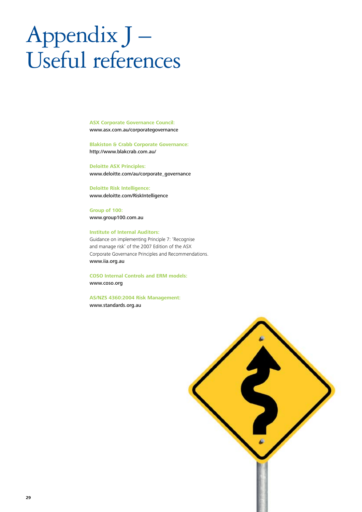# Appendix J – Useful references

**ASX Corporate Governance Council:**  www.asx.com.au/corporategovernance

**Blakiston & Crabb Corporate Governance:**  http://www.blakcrab.com.au/

**Deloitte ASX Principles:**  www.deloitte.com/au/corporate\_governance

**Deloitte Risk Intelligence:**  www.deloitte.com/RiskIntelligence

**Group of 100:**  www.group100.com.au

### **Institute of Internal Auditors:**

Guidance on implementing Principle 7: 'Recognise and manage risk' of the 2007 Edition of the ASX Corporate Governance Principles and Recommendations. www.iia.org.au

**COSO Internal Controls and ERM models:**  www.coso.org

**AS/NZS 4360:2004 Risk Management:**  www.standards.org.au

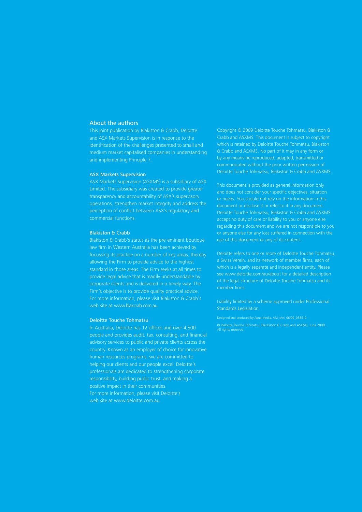## About the authors

This joint publication by Blakiston & Crabb, Deloitte and ASX Markets Supervision is in response to the identification of the challenges presented to small and medium market capitalised companies in understanding and implementing Principle 7.

#### ASX Markets Supervision

ASX Markets Supervision (ASXMS) is a subsidiary of ASX Limited. The subsidiary was created to provide greater transparency and accountability of ASX's supervisory operations, strengthen market integrity and address the perception of conflict between ASX's regulatory and commercial functions.

#### Blakiston & Crabb

Blakiston & Crabb's status as the pre-eminent boutique law firm in Western Australia has been achieved by focussing its practice on a number of key areas, thereby allowing the Firm to provide advice to the highest provide legal advice that is readily understandable by corporate clients and is delivered in a timely way. The Firm's objective is to provide quality practical advice. For more information, please visit Blakiston & Crabb's web site at www.blakcrab.com.au.

#### Deloitte Touche Tohmatsu

In Australia, Deloitte has 12 offices and over 4,500 people and provides audit, tax, consulting, and financial advisory services to public and private clients across the country. Known as an employer of choice for innovative human resources programs, we are committed to helping our clients and our people excel. Deloitte's professionals are dedicated to strengthening corporate responsibility, building public trust, and making a positive impact in their communities. For more information, please visit Deloitte's web site at www.deloitte.com.au.

Copyright © 2009 Deloitte Touche Tohmatsu, Blakiston & Crabb and ASXMS. This document is subject to copyright which is retained by Deloitte Touche Tohmatsu, Blakiston & Crabb and ASXMS. No part of it may in any form or by any means be reproduced, adapted, transmitted or communicated without the prior written permission of Deloitte Touche Tohmatsu, Blakiston & Crabb and ASXMS.

This document is provided as general information only and does not consider your specific objectives, situation document or disclose it or refer to it in any document. Deloitte Touche Tohmatsu, Blakiston & Crabb and ASXMS accept no duty of care or liability to you or anyone else regarding this document and we are not responsible to you or anyone else for any loss suffered in connection with the use of this document or any of its content.

Deloitte refers to one or more of Deloitte Touche Tohmatsu, which is a legally separate and independent entity. Please see www.deloitte.com/au/about for a detailed description of the legal structure of Deloitte Touche Tohmatsu and its member firms.

Liability limited by a scheme approved under Professional Standards Legislation.

Designed and produced by Aqua Media, AM\_Mel\_06/09\_038510 © Deloitte Touche Tohmatsu, Blackiston & Crabb and ASXMS, June 2009. All rights reserved.